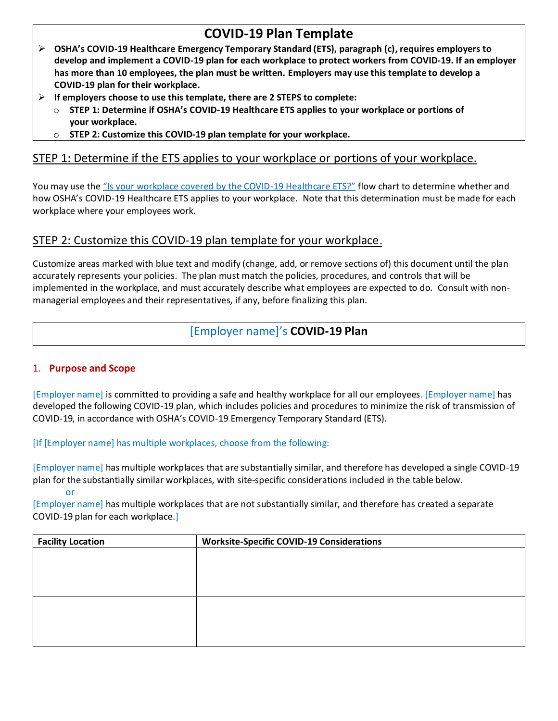# **COVID-19 Plan Template**

- ➢ **OSHA's COVID-19 Healthcare Emergency Temporary Standard (ETS), paragraph (c), requires employers to develop and implement a COVID-19 plan for each workplace to protect workers from COVID-19. If an employer has more than 10 employees, the plan must be written. Employers may use this template to develop a COVID-19 plan for their workplace.**
- ➢ **If employers choose to use this template, there are 2 STEPS to complete:**
	- o **STEP 1: Determine if OSHA's COVID-19 Healthcare ETS applies to your workplace or portions of your workplace.**
	- o **STEP 2: Customize this COVID-19 plan template for your workplace.**

## STEP 1: Determine if the ETS applies to your workplace or portions of your workplace.

You may use the "Is your workplace [covered by the COVID-](https://www.osha.gov/sites/default/files/publications/OSHA4125.pdf)19 Healthcare ETS?" flow chart to determine whether and how OSHA's COVID-19 Healthcare ETS applies to your workplace. Note that this determination must be made for each workplace where your employees work.

## STEP 2: Customize this COVID-19 plan template for your workplace.

Customize areas marked with blue text and modify (change, add, or remove sections of) this document until the plan accurately represents your policies. The plan must match the policies, procedures, and controls that will be implemented in the workplace, and must accurately describe what employees are expected to do. Consult with nonmanagerial employees and their representatives, if any, before finalizing this plan.

## [Employer name]'s **COVID-19 Plan**

## 1. **Purpose and Scope**

[Employer name] is committed to providing a safe and healthy workplace for all our employees. [Employer name] has developed the following COVID-19 plan, which includes policies and procedures to minimize the risk of transmission of COVID-19, in accordance with OSHA's COVID-19 Emergency Temporary Standard (ETS).

## [If [Employer name] has multiple workplaces, choose from the following:

[Employer name] has multiple workplaces that are substantially similar, and therefore has developed a single COVID-19 plan for the substantially similar workplaces, with site-specific considerations included in the table below. or

[Employer name] has multiple workplaces that are not substantially similar, and therefore has created a separate COVID-19 plan for each workplace.]

| <b>Facility Location</b> | <b>Worksite-Specific COVID-19 Considerations</b> |  |
|--------------------------|--------------------------------------------------|--|
|                          |                                                  |  |
|                          |                                                  |  |
|                          |                                                  |  |
|                          |                                                  |  |
|                          |                                                  |  |
|                          |                                                  |  |
|                          |                                                  |  |
|                          |                                                  |  |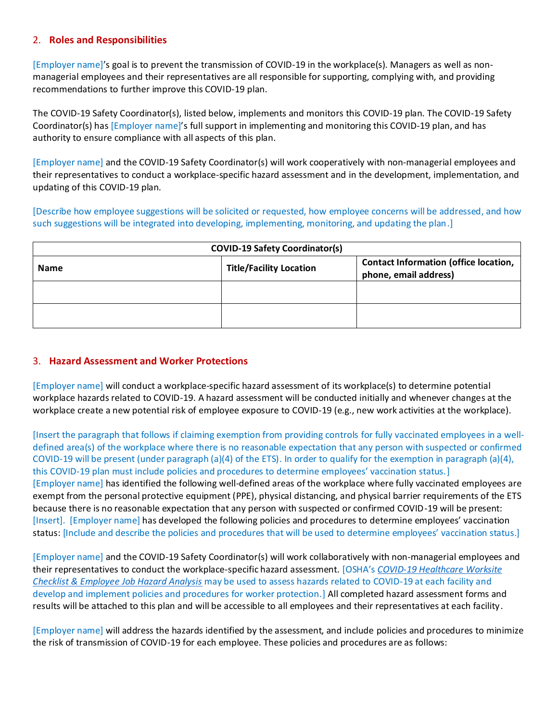## 2. **Roles and Responsibilities**

[Employer name]'s goal is to prevent the transmission of COVID-19 in the workplace(s). Managers as well as nonmanagerial employees and their representatives are all responsible for supporting, complying with, and providing recommendations to further improve this COVID-19 plan.

The COVID-19 Safety Coordinator(s), listed below, implements and monitors this COVID-19 plan. The COVID-19 Safety Coordinator(s) has [Employer name]'s full support in implementing and monitoring this COVID-19 plan, and has authority to ensure compliance with all aspects of this plan.

[Employer name] and the COVID-19 Safety Coordinator(s) will work cooperatively with non-managerial employees and their representatives to conduct a workplace-specific hazard assessment and in the development, implementation, and updating of this COVID-19 plan.

[Describe how employee suggestions will be solicited or requested, how employee concerns will be addressed, and how such suggestions will be integrated into developing, implementing, monitoring, and updating the plan.]

| <b>COVID-19 Safety Coordinator(s)</b> |                                |                                                                       |  |  |
|---------------------------------------|--------------------------------|-----------------------------------------------------------------------|--|--|
| <b>Name</b>                           | <b>Title/Facility Location</b> | <b>Contact Information (office location,</b><br>phone, email address) |  |  |
|                                       |                                |                                                                       |  |  |
|                                       |                                |                                                                       |  |  |

#### 3. **Hazard Assessment and Worker Protections**

[Employer name] will conduct a workplace-specific hazard assessment of its workplace(s) to determine potential workplace hazards related to COVID-19. A hazard assessment will be conducted initially and whenever changes at the workplace create a new potential risk of employee exposure to COVID-19 (e.g., new work activities at the workplace).

[Insert the paragraph that follows if claiming exemption from providing controls for fully vaccinated employees in a welldefined area(s) of the workplace where there is no reasonable expectation that any person with suspected or confirmed COVID-19 will be present (under paragraph (a)(4) of the ETS). In order to qualify for the exemption in paragraph (a)(4), this COVID-19 plan must include policies and procedures to determine employees' vaccination status.] [Employer name] has identified the following well-defined areas of the workplace where fully vaccinated employees are exempt from the personal protective equipment (PPE), physical distancing, and physical barrier requirements of the ETS because there is no reasonable expectation that any person with suspected or confirmed COVID-19 will be present: [Insert]. [Employer name] has developed the following policies and procedures to determine employees' vaccination status: [Include and describe the policies and procedures that will be used to determine employees' vaccination status.]

[Employer name] and the COVID-19 Safety Coordinator(s) will work collaboratively with non-managerial employees and their representatives to conduct the workplace-specific hazard assessment. [OSHA's *[COVID-19 Healthcare Worksite](https://www.osha.gov/sites/default/files/COVID-19_Healthcare_ETS_Worksite_Checklist_Employee_Job_Hazard_Analysis.pdf)  [Checklist & Employee Job Hazard Analysis](https://www.osha.gov/sites/default/files/COVID-19_Healthcare_ETS_Worksite_Checklist_Employee_Job_Hazard_Analysis.pdf)* may be used to assess hazards related to COVID-19 at each facility and develop and implement policies and procedures for worker protection.] All completed hazard assessment forms and results will be attached to this plan and will be accessible to all employees and their representatives at each facility.

[Employer name] will address the hazards identified by the assessment, and include policies and procedures to minimize the risk of transmission of COVID-19 for each employee. These policies and procedures are as follows: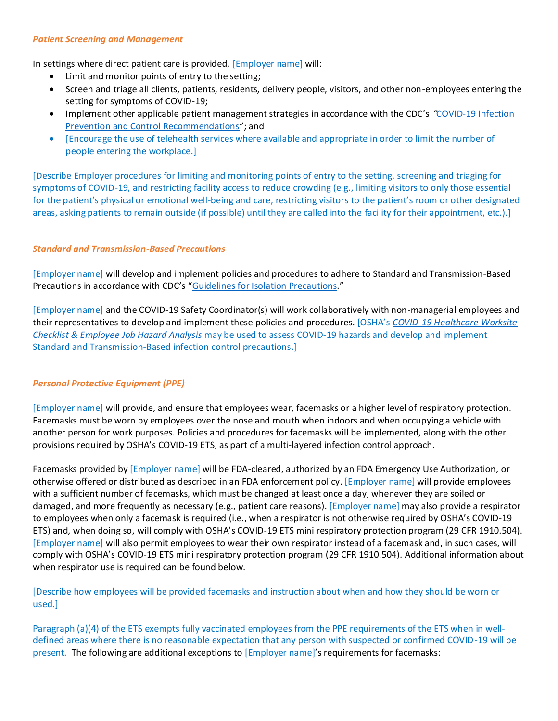#### *Patient Screening and Management*

In settings where direct patient care is provided, [Employer name] will:

- Limit and monitor points of entry to the setting;
- Screen and triage all clients, patients, residents, delivery people, visitors, and other non-employees entering the setting for symptoms of COVID-19;
- Implement other applicable patient management strategies in accordance with the CDC's "COVID-19 Infection [Prevention and Control Recommendations](https://www.osha.gov/sites/default/files/CDC)"; and
- [Encourage the use of telehealth services where available and appropriate in order to limit the number of people entering the workplace.]

[Describe Employer procedures for limiting and monitoring points of entry to the setting, screening and triaging for symptoms of COVID-19, and restricting facility access to reduce crowding (e.g., limiting visitors to only those essential for the patient's physical or emotional well-being and care, restricting visitors to the patient's room or other designated areas, asking patients to remain outside (if possible) until they are called into the facility for their appointment, etc.).]

## *Standard and Transmission-Based Precautions*

[Employer name] will develop and implement policies and procedures to adhere to Standard and Transmission-Based Precautions in accordance with CDC's "[Guidelines for Isolation Precautions](https://www.osha.gov/sites/default/files/CDC)."

[Employer name] and the COVID-19 Safety Coordinator(s) will work collaboratively with non-managerial employees and their representatives to develop and implement these policies and procedures. [OSHA's *[COVID-19 Healthcare Worksite](https://www.osha.gov/sites/default/files/COVID-19_Healthcare_ETS_Worksite_Checklist_Employee_Job_Hazard_Analysis.pdf)  [Checklist & Employee Job Hazard Analysis](https://www.osha.gov/sites/default/files/COVID-19_Healthcare_ETS_Worksite_Checklist_Employee_Job_Hazard_Analysis.pdf)* may be used to assess COVID-19 hazards and develop and implement Standard and Transmission-Based infection control precautions.]

## *Personal Protective Equipment (PPE)*

[Employer name] will provide, and ensure that employees wear, facemasks or a higher level of respiratory protection. Facemasks must be worn by employees over the nose and mouth when indoors and when occupying a vehicle with another person for work purposes. Policies and procedures for facemasks will be implemented, along with the other provisions required by OSHA's COVID-19 ETS, as part of a multi-layered infection control approach.

Facemasks provided by [Employer name] will be FDA-cleared, authorized by an FDA Emergency Use Authorization, or otherwise offered or distributed as described in an FDA enforcement policy. [Employer name] will provide employees with a sufficient number of facemasks, which must be changed at least once a day, whenever they are soiled or damaged, and more frequently as necessary (e.g., patient care reasons). [Employer name] may also provide a respirator to employees when only a facemask is required (i.e., when a respirator is not otherwise required by OSHA's COVID-19 ETS) and, when doing so, will comply with OSHA's COVID-19 ETS mini respiratory protection program (29 CFR 1910.504). [Employer name] will also permit employees to wear their own respirator instead of a facemask and, in such cases, will comply with OSHA's COVID-19 ETS mini respiratory protection program (29 CFR 1910.504). Additional information about when respirator use is required can be found below.

[Describe how employees will be provided facemasks and instruction about when and how they should be worn or used.]

Paragraph (a)(4) of the ETS exempts fully vaccinated employees from the PPE requirements of the ETS when in welldefined areas where there is no reasonable expectation that any person with suspected or confirmed COVID-19 will be present. The following are additional exceptions to [Employer name]'s requirements for facemasks: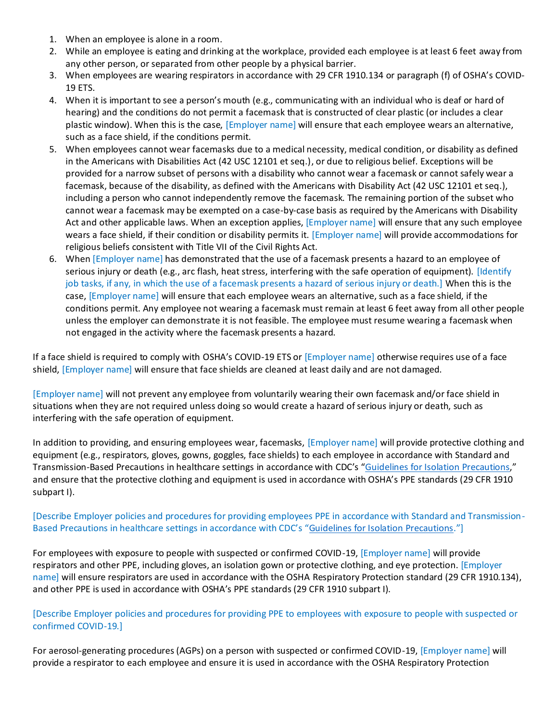- 1. When an employee is alone in a room.
- 2. While an employee is eating and drinking at the workplace, provided each employee is at least 6 feet away from any other person, or separated from other people by a physical barrier.
- 3. When employees are wearing respirators in accordance with 29 CFR 1910.134 or paragraph (f) of OSHA's COVID-19 ETS.
- 4. When it is important to see a person's mouth (e.g., communicating with an individual who is deaf or hard of hearing) and the conditions do not permit a facemask that is constructed of clear plastic (or includes a clear plastic window). When this is the case, [Employer name] will ensure that each employee wears an alternative, such as a face shield, if the conditions permit.
- 5. When employees cannot wear facemasks due to a medical necessity, medical condition, or disability as defined in the Americans with Disabilities Act (42 USC 12101 et seq.), or due to religious belief. Exceptions will be provided for a narrow subset of persons with a disability who cannot wear a facemask or cannot safely wear a facemask, because of the disability, as defined with the Americans with Disability Act (42 USC 12101 et seq.), including a person who cannot independently remove the facemask. The remaining portion of the subset who cannot wear a facemask may be exempted on a case-by-case basis as required by the Americans with Disability Act and other applicable laws. When an exception applies, [Employer name] will ensure that any such employee wears a face shield, if their condition or disability permits it. [Employer name] will provide accommodations for religious beliefs consistent with Title VII of the Civil Rights Act.
- 6. When [Employer name] has demonstrated that the use of a facemask presents a hazard to an employee of serious injury or death (e.g., arc flash, heat stress, interfering with the safe operation of equipment). [Identify job tasks, if any, in which the use of a facemask presents a hazard of serious injury or death.] When this is the case, [Employer name] will ensure that each employee wears an alternative, such as a face shield, if the conditions permit. Any employee not wearing a facemask must remain at least 6 feet away from all other people unless the employer can demonstrate it is not feasible. The employee must resume wearing a facemask when not engaged in the activity where the facemask presents a hazard.

If a face shield is required to comply with OSHA's COVID-19 ETS or [Employer name] otherwise requires use of a face shield, [Employer name] will ensure that face shields are cleaned at least daily and are not damaged.

[Employer name] will not prevent any employee from voluntarily wearing their own facemask and/or face shield in situations when they are not required unless doing so would create a hazard of serious injury or death, such as interfering with the safe operation of equipment.

In addition to providing, and ensuring employees wear, facemasks, [Employer name] will provide protective clothing and equipment (e.g., respirators, gloves, gowns, goggles, face shields) to each employee in accordance with Standard and Transmission-Based Precautions in healthcare settings in accordance with CDC's "[Guidelines for Isolation Precautions](https://www.osha.gov/sites/default/files/CDC)," and ensure that the protective clothing and equipment is used in accordance with OSHA's PPE standards (29 CFR 1910 subpart I).

[Describe Employer policies and procedures for providing employees PPE in accordance with Standard and Transmission-Based Precautions in healthcare settings in accordance with CDC's "[Guidelines for Isolation Precautions.](https://www.osha.gov/sites/default/files/CDC)"]

For employees with exposure to people with suspected or confirmed COVID-19, [Employer name] will provide respirators and other PPE, including gloves, an isolation gown or protective clothing, and eye protection. [Employer name] will ensure respirators are used in accordance with the OSHA Respiratory Protection standard (29 CFR 1910.134), and other PPE is used in accordance with OSHA's PPE standards (29 CFR 1910 subpart I).

## [Describe Employer policies and procedures for providing PPE to employees with exposure to people with suspected or confirmed COVID-19.]

For aerosol-generating procedures (AGPs) on a person with suspected or confirmed COVID-19, [Employer name] will provide a respirator to each employee and ensure it is used in accordance with the OSHA Respiratory Protection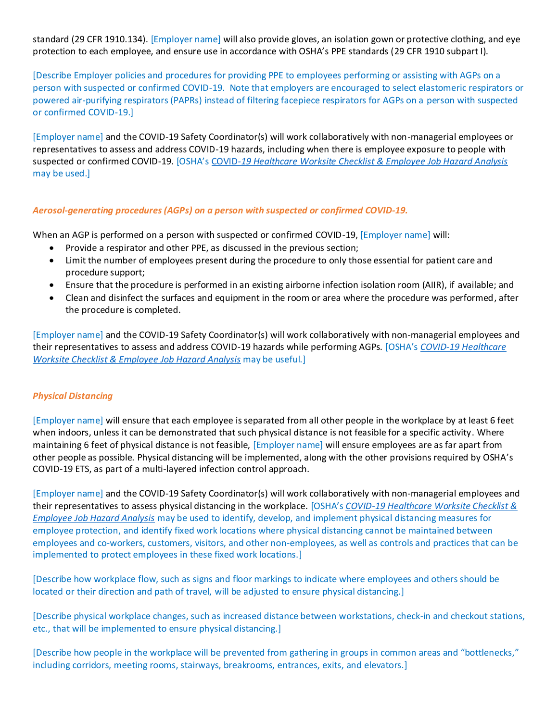standard (29 CFR 1910.134). [Employer name] will also provide gloves, an isolation gown or protective clothing, and eye protection to each employee, and ensure use in accordance with OSHA's PPE standards (29 CFR 1910 subpart I).

[Describe Employer policies and procedures for providing PPE to employees performing or assisting with AGPs on a person with suspected or confirmed COVID-19. Note that employers are encouraged to select elastomeric respirators or powered air-purifying respirators (PAPRs) instead of filtering facepiece respirators for AGPs on a person with suspected or confirmed COVID-19.]

[Employer name] and the COVID-19 Safety Coordinator(s) will work collaboratively with non-managerial employees or representatives to assess and address COVID-19 hazards, including when there is employee exposure to people with suspected or confirmed COVID-19. [OSHA's COVID*[-19 Healthcare Worksite Checklist & Employee Job Hazard Analysis](https://www.osha.gov/sites/default/files/COVID-19_Healthcare_ETS_Worksite_Checklist_Employee_Job_Hazard_Analysis.pdf)* may be used.]

## *Aerosol-generating procedures (AGPs) on a person with suspected or confirmed COVID-19.*

When an AGP is performed on a person with suspected or confirmed COVID-19, [Employer name] will:

- Provide a respirator and other PPE, as discussed in the previous section;
- Limit the number of employees present during the procedure to only those essential for patient care and procedure support;
- Ensure that the procedure is performed in an existing airborne infection isolation room (AIIR), if available; and
- Clean and disinfect the surfaces and equipment in the room or area where the procedure was performed, after the procedure is completed.

[Employer name] and the COVID-19 Safety Coordinator(s) will work collaboratively with non-managerial employees and their representatives to assess and address COVID-19 hazards while performing AGPs. [OSHA's *[COVID-19 Healthcare](https://www.osha.gov/sites/default/files/COVID-19_Healthcare_ETS_Worksite_Checklist_Employee_Job_Hazard_Analysis.pdf)  [Worksite Checklist & Employee Job Hazard Analysis](https://www.osha.gov/sites/default/files/COVID-19_Healthcare_ETS_Worksite_Checklist_Employee_Job_Hazard_Analysis.pdf)* may be useful.]

## *Physical Distancing*

[Employer name] will ensure that each employee is separated from all other people in the workplace by at least 6 feet when indoors, unless it can be demonstrated that such physical distance is not feasible for a specific activity. Where maintaining 6 feet of physical distance is not feasible, [Employer name] will ensure employees are as far apart from other people as possible. Physical distancing will be implemented, along with the other provisions required by OSHA's COVID-19 ETS, as part of a multi-layered infection control approach.

[Employer name] and the COVID-19 Safety Coordinator(s) will work collaboratively with non-managerial employees and their representatives to assess physical distancing in the workplace. [OSHA's *[COVID-19 Healthcare Worksite Checklist &](https://www.osha.gov/sites/default/files/COVID-19_Healthcare_ETS_Worksite_Checklist_Employee_Job_Hazard_Analysis.pdf)  [Employee Job Hazard Analysis](https://www.osha.gov/sites/default/files/COVID-19_Healthcare_ETS_Worksite_Checklist_Employee_Job_Hazard_Analysis.pdf)* may be used to identify, develop, and implement physical distancing measures for employee protection, and identify fixed work locations where physical distancing cannot be maintained between employees and co-workers, customers, visitors, and other non-employees, as well as controls and practices that can be implemented to protect employees in these fixed work locations.]

[Describe how workplace flow, such as signs and floor markings to indicate where employees and others should be located or their direction and path of travel, will be adjusted to ensure physical distancing.]

[Describe physical workplace changes, such as increased distance between workstations, check-in and checkout stations, etc., that will be implemented to ensure physical distancing.]

[Describe how people in the workplace will be prevented from gathering in groups in common areas and "bottlenecks," including corridors, meeting rooms, stairways, breakrooms, entrances, exits, and elevators.]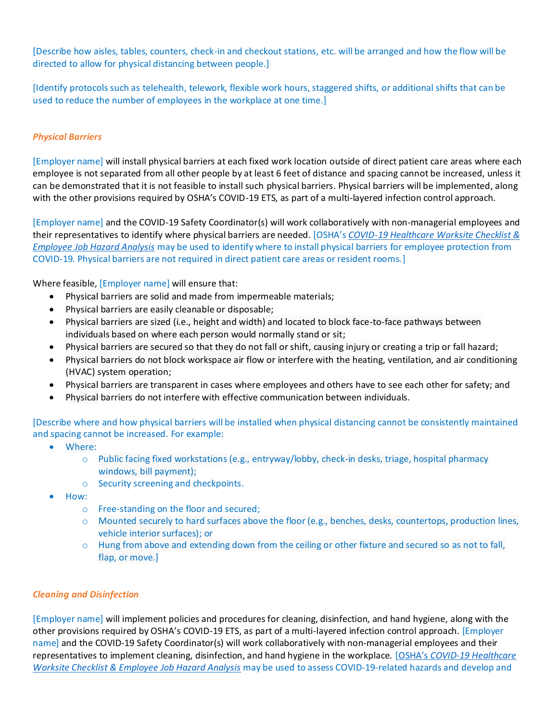[Describe how aisles, tables, counters, check-in and checkout stations, etc. will be arranged and how the flow will be directed to allow for physical distancing between people.]

[Identify protocols such as telehealth, telework, flexible work hours, staggered shifts, or additional shifts that can be used to reduce the number of employees in the workplace at one time.]

## *Physical Barriers*

[Employer name] will install physical barriers at each fixed work location outside of direct patient care areas where each employee is not separated from all other people by at least 6 feet of distance and spacing cannot be increased, unless it can be demonstrated that it is not feasible to install such physical barriers. Physical barriers will be implemented, along with the other provisions required by OSHA's COVID-19 ETS, as part of a multi-layered infection control approach.

[Employer name] and the COVID-19 Safety Coordinator(s) will work collaboratively with non-managerial employees and their representatives to identify where physical barriers are needed. [OSHA's *[COVID-19 Healthcare Worksite Checklist &](https://www.osha.gov/sites/default/files/COVID-19_Healthcare_ETS_Worksite_Checklist_Employee_Job_Hazard_Analysis.pdf)  [Employee Job Hazard Analysis](https://www.osha.gov/sites/default/files/COVID-19_Healthcare_ETS_Worksite_Checklist_Employee_Job_Hazard_Analysis.pdf)* may be used to identify where to install physical barriers for employee protection from COVID-19. Physical barriers are not required in direct patient care areas or resident rooms.]

Where feasible, [Employer name] will ensure that:

- Physical barriers are solid and made from impermeable materials;
- Physical barriers are easily cleanable or disposable;
- Physical barriers are sized (i.e., height and width) and located to block face-to-face pathways between individuals based on where each person would normally stand or sit;
- Physical barriers are secured so that they do not fall or shift, causing injury or creating a trip or fall hazard;
- Physical barriers do not block workspace air flow or interfere with the heating, ventilation, and air conditioning (HVAC) system operation;
- Physical barriers are transparent in cases where employees and others have to see each other for safety; and
- Physical barriers do not interfere with effective communication between individuals.

[Describe where and how physical barriers will be installed when physical distancing cannot be consistently maintained and spacing cannot be increased. For example:

- Where:
	- o Public facing fixed workstations (e.g., entryway/lobby, check-in desks, triage, hospital pharmacy windows, bill payment);
	- o Security screening and checkpoints.
- How:
	- o Free-standing on the floor and secured;
	- o Mounted securely to hard surfaces above the floor (e.g., benches, desks, countertops, production lines, vehicle interior surfaces); or
	- o Hung from above and extending down from the ceiling or other fixture and secured so as not to fall, flap, or move.]

#### *Cleaning and Disinfection*

[Employer name] will implement policies and procedures for cleaning, disinfection, and hand hygiene, along with the other provisions required by OSHA's COVID-19 ETS, as part of a multi-layered infection control approach. [Employer name] and the COVID-19 Safety Coordinator(s) will work collaboratively with non-managerial employees and their representatives to implement cleaning, disinfection, and hand hygiene in the workplace. [OSHA's *[COVID-19 Healthcare](https://www.osha.gov/sites/default/files/COVID-19_Healthcare_ETS_Worksite_Checklist_Employee_Job_Hazard_Analysis.pdf)  [Worksite Checklist & Employee Job Hazard Analysis](https://www.osha.gov/sites/default/files/COVID-19_Healthcare_ETS_Worksite_Checklist_Employee_Job_Hazard_Analysis.pdf)* may be used to assess COVID-19-related hazards and develop and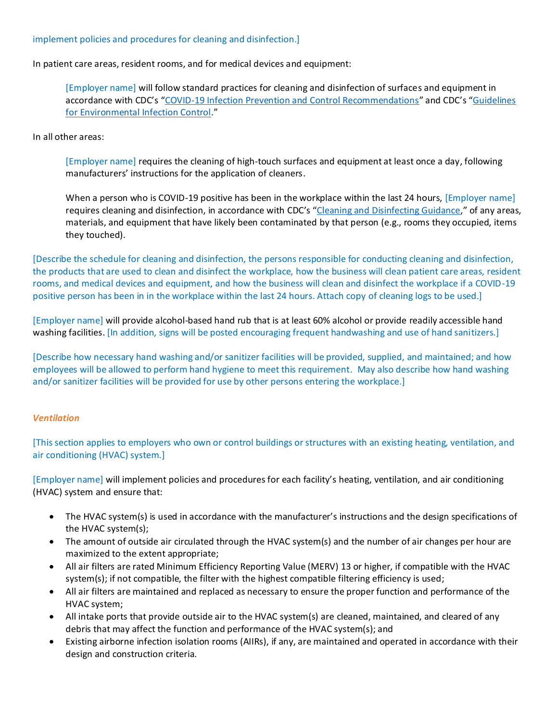#### implement policies and procedures for cleaning and disinfection.]

In patient care areas, resident rooms, and for medical devices and equipment:

[Employer name] will follow standard practices for cleaning and disinfection of surfaces and equipment in accordance with CDC's "[COVID-19 Infection Prevention and Control Recommendations](https://www.osha.gov/sites/default/files/CDC)" and CDC's "[Guidelines](https://www.osha.gov/sites/default/files/CDC)  [for Environmental Infection Control](https://www.osha.gov/sites/default/files/CDC)."

In all other areas:

[Employer name] requires the cleaning of high-touch surfaces and equipment at least once a day, following manufacturers' instructions for the application of cleaners.

When a person who is COVID-19 positive has been in the workplace within the last 24 hours, [Employer name] requires cleaning and disinfection, in accordance with CDC's "[Cleaning and Disinfecting Guidance](https://www.osha.gov/sites/default/files/CDC)," of any areas, materials, and equipment that have likely been contaminated by that person (e.g., rooms they occupied, items they touched).

[Describe the schedule for cleaning and disinfection, the persons responsible for conducting cleaning and disinfection, the products that are used to clean and disinfect the workplace, how the business will clean patient care areas, resident rooms, and medical devices and equipment, and how the business will clean and disinfect the workplace if a COVID-19 positive person has been in in the workplace within the last 24 hours. Attach copy of cleaning logs to be used.]

[Employer name] will provide alcohol-based hand rub that is at least 60% alcohol or provide readily accessible hand washing facilities. [In addition, signs will be posted encouraging frequent handwashing and use of hand sanitizers.]

[Describe how necessary hand washing and/or sanitizer facilities will be provided, supplied, and maintained; and how employees will be allowed to perform hand hygiene to meet this requirement. May also describe how hand washing and/or sanitizer facilities will be provided for use by other persons entering the workplace.]

#### *Ventilation*

[This section applies to employers who own or control buildings or structures with an existing heating, ventilation, and air conditioning (HVAC) system.]

[Employer name] will implement policies and procedures for each facility's heating, ventilation, and air conditioning (HVAC) system and ensure that:

- The HVAC system(s) is used in accordance with the manufacturer's instructions and the design specifications of the HVAC system(s);
- The amount of outside air circulated through the HVAC system(s) and the number of air changes per hour are maximized to the extent appropriate;
- All air filters are rated Minimum Efficiency Reporting Value (MERV) 13 or higher, if compatible with the HVAC system(s); if not compatible, the filter with the highest compatible filtering efficiency is used;
- All air filters are maintained and replaced as necessary to ensure the proper function and performance of the HVAC system;
- All intake ports that provide outside air to the HVAC system(s) are cleaned, maintained, and cleared of any debris that may affect the function and performance of the HVAC system(s); and
- Existing airborne infection isolation rooms (AIIRs), if any, are maintained and operated in accordance with their design and construction criteria.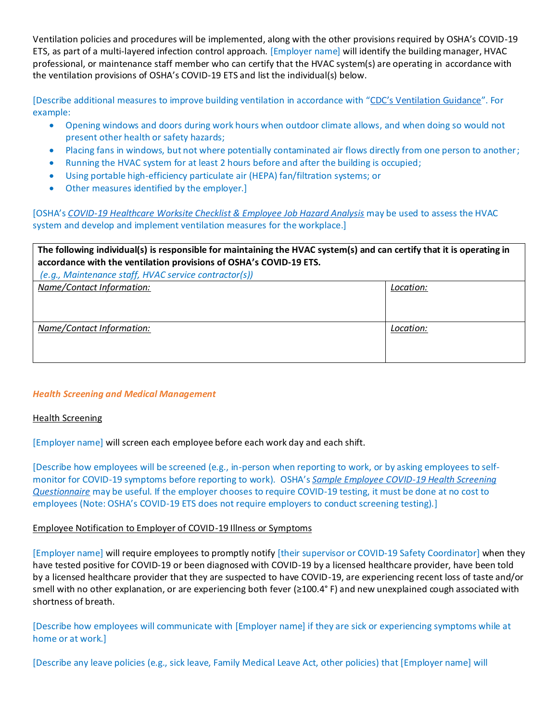Ventilation policies and procedures will be implemented, along with the other provisions required by OSHA's COVID-19 ETS, as part of a multi-layered infection control approach. [Employer name] will identify the building manager, HVAC professional, or maintenance staff member who can certify that the HVAC system(s) are operating in accordance with the ventilation provisions of OSHA's COVID-19 ETS and list the individual(s) below.

[Describe additional measures to improve building ventilation in accordance with ["CDC's Ventilation Guidance"](http://www.cdc.gov/coronavirus/2019-ncov/community/ventilation.html). For example:

- Opening windows and doors during work hours when outdoor climate allows, and when doing so would not present other health or safety hazards;
- Placing fans in windows, but not where potentially contaminated air flows directly from one person to another;
- Running the HVAC system for at least 2 hours before and after the building is occupied;
- Using portable high-efficiency particulate air (HEPA) fan/filtration systems; or
- Other measures identified by the employer.]

[OSHA's *[COVID-19 Healthcare Worksite Checklist & Employee Job Hazard Analysis](https://www.osha.gov/sites/default/files/COVID-19_Healthcare_ETS_Worksite_Checklist_Employee_Job_Hazard_Analysis.pdf)* may be used to assess the HVAC system and develop and implement ventilation measures for the workplace.]

| The following individual(s) is responsible for maintaining the HVAC system(s) and can certify that it is operating in<br>accordance with the ventilation provisions of OSHA's COVID-19 ETS.<br>(e.g., Maintenance staff, HVAC service contractor(s)) |           |  |
|------------------------------------------------------------------------------------------------------------------------------------------------------------------------------------------------------------------------------------------------------|-----------|--|
| Name/Contact Information:                                                                                                                                                                                                                            | Location: |  |
| Name/Contact Information:                                                                                                                                                                                                                            | Location: |  |

#### *Health Screening and Medical Management*

#### Health Screening

[Employer name] will screen each employee before each work day and each shift.

[Describe how employees will be screened (e.g., in-person when reporting to work, or by asking employees to selfmonitor for COVID-19 symptoms before reporting to work). OSHA's *[Sample Employee COVID-19 Health Screening](https://www.osha.gov/sites/default/files/publications/OSHA4132.pdf) [Questionnaire](https://www.osha.gov/sites/default/files/publications/OSHA4132.pdf)* may be useful. If the employer chooses to require COVID-19 testing, it must be done at no cost to employees (Note: OSHA's COVID-19 ETS does not require employers to conduct screening testing).]

#### Employee Notification to Employer of COVID-19 Illness or Symptoms

[Employer name] will require employees to promptly notify [their supervisor or COVID-19 Safety Coordinator] when they have tested positive for COVID-19 or been diagnosed with COVID-19 by a licensed healthcare provider, have been told by a licensed healthcare provider that they are suspected to have COVID-19, are experiencing recent loss of taste and/or smell with no other explanation, or are experiencing both fever (≥100.4° F) and new unexplained cough associated with shortness of breath.

[Describe how employees will communicate with [Employer name] if they are sick or experiencing symptoms while at home or at work.]

[Describe any leave policies (e.g., sick leave, Family Medical Leave Act, other policies) that [Employer name] will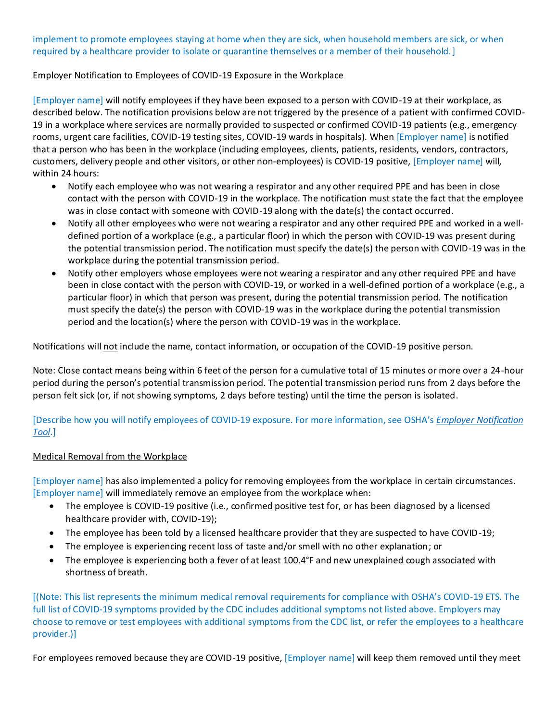## implement to promote employees staying at home when they are sick, when household members are sick, or when required by a healthcare provider to isolate or quarantine themselves or a member of their household.]

## Employer Notification to Employees of COVID-19 Exposure in the Workplace

[Employer name] will notify employees if they have been exposed to a person with COVID-19 at their workplace, as described below. The notification provisions below are not triggered by the presence of a patient with confirmed COVID-19 in a workplace where services are normally provided to suspected or confirmed COVID-19 patients (e.g., emergency rooms, urgent care facilities, COVID-19 testing sites, COVID-19 wards in hospitals). When [Employer name] is notified that a person who has been in the workplace (including employees, clients, patients, residents, vendors, contractors, customers, delivery people and other visitors, or other non-employees) is COVID-19 positive, [Employer name] will, within 24 hours:

- Notify each employee who was not wearing a respirator and any other required PPE and has been in close contact with the person with COVID-19 in the workplace. The notification must state the fact that the employee was in close contact with someone with COVID-19 along with the date(s) the contact occurred.
- Notify all other employees who were not wearing a respirator and any other required PPE and worked in a welldefined portion of a workplace (e.g., a particular floor) in which the person with COVID-19 was present during the potential transmission period. The notification must specify the date(s) the person with COVID-19 was in the workplace during the potential transmission period.
- Notify other employers whose employees were not wearing a respirator and any other required PPE and have been in close contact with the person with COVID-19, or worked in a well-defined portion of a workplace (e.g., a particular floor) in which that person was present, during the potential transmission period. The notification must specify the date(s) the person with COVID-19 was in the workplace during the potential transmission period and the location(s) where the person with COVID-19 was in the workplace.

Notifications will not include the name, contact information, or occupation of the COVID-19 positive person.

Note: Close contact means being within 6 feet of the person for a cumulative total of 15 minutes or more over a 24-hour period during the person's potential transmission period. The potential transmission period runs from 2 days before the person felt sick (or, if not showing symptoms, 2 days before testing) until the time the person is isolated.

[Describe how you will notify employees of COVID-19 exposure. For more information, see OSHA's *[Employer Notification](https://www.osha.gov/sites/default/files/publications/OSHA4131.pdf) [Tool](https://www.osha.gov/sites/default/files/publications/OSHA4131.pdf)*.]

#### Medical Removal from the Workplace

[Employer name] has also implemented a policy for removing employees from the workplace in certain circumstances. [Employer name] will immediately remove an employee from the workplace when:

- The employee is COVID-19 positive (i.e., confirmed positive test for, or has been diagnosed by a licensed healthcare provider with, COVID-19);
- The employee has been told by a licensed healthcare provider that they are suspected to have COVID-19;
- The employee is experiencing recent loss of taste and/or smell with no other explanation; or
- The employee is experiencing both a fever of at least 100.4°F and new unexplained cough associated with shortness of breath.

[(Note: This list represents the minimum medical removal requirements for compliance with OSHA's COVID-19 ETS. The full list of COVID-19 symptoms provided by the CDC includes additional symptoms not listed above. Employers may choose to remove or test employees with additional symptoms from the CDC list, or refer the employees to a healthcare provider.)]

For employees removed because they are COVID-19 positive, [Employer name] will keep them removed until they meet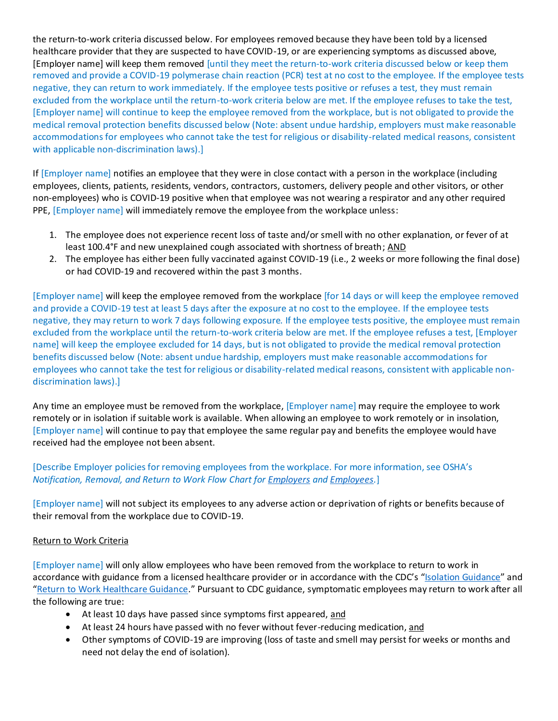the return-to-work criteria discussed below. For employees removed because they have been told by a licensed healthcare provider that they are suspected to have COVID-19, or are experiencing symptoms as discussed above, [Employer name] will keep them removed [until they meet the return-to-work criteria discussed below or keep them removed and provide a COVID-19 polymerase chain reaction (PCR) test at no cost to the employee. If the employee tests negative, they can return to work immediately. If the employee tests positive or refuses a test, they must remain excluded from the workplace until the return-to-work criteria below are met. If the employee refuses to take the test, [Employer name] will continue to keep the employee removed from the workplace, but is not obligated to provide the medical removal protection benefits discussed below (Note: absent undue hardship, employers must make reasonable accommodations for employees who cannot take the test for religious or disability-related medical reasons, consistent with applicable non-discrimination laws).]

If [Employer name] notifies an employee that they were in close contact with a person in the workplace (including employees, clients, patients, residents, vendors, contractors, customers, delivery people and other visitors, or other non-employees) who is COVID-19 positive when that employee was not wearing a respirator and any other required PPE, [Employer name] will immediately remove the employee from the workplace unless:

- 1. The employee does not experience recent loss of taste and/or smell with no other explanation, or fever of at least 100.4°F and new unexplained cough associated with shortness of breath; AND
- 2. The employee has either been fully vaccinated against COVID-19 (i.e., 2 weeks or more following the final dose) or had COVID-19 and recovered within the past 3 months.

[Employer name] will keep the employee removed from the workplace [for 14 days or will keep the employee removed and provide a COVID-19 test at least 5 days after the exposure at no cost to the employee. If the employee tests negative, they may return to work 7 days following exposure. If the employee tests positive, the employee must remain excluded from the workplace until the return-to-work criteria below are met. If the employee refuses a test, [Employer name] will keep the employee excluded for 14 days, but is not obligated to provide the medical removal protection benefits discussed below (Note: absent undue hardship, employers must make reasonable accommodations for employees who cannot take the test for religious or disability-related medical reasons, consistent with applicable nondiscrimination laws).]

Any time an employee must be removed from the workplace, [Employer name] may require the employee to work remotely or in isolation if suitable work is available. When allowing an employee to work remotely or in insolation, [Employer name] will continue to pay that employee the same regular pay and benefits the employee would have received had the employee not been absent.

[Describe Employer policies for removing employees from the workplace. For more information, see OSHA's *Notification, Removal, and Return to Work Flow Chart for [Employers](https://www.osha.gov/sites/default/files/COVID-19%20Healthcare%20ETS%20Notification%20Removal%20and%20Return%20to%20Work%20Flow%20Chart%20-%20Employer.pdf) and [Employees.](https://www.osha.gov/sites/default/files/COVID-19%20Healthcare%20ETS%20Notification%20Removal%20and%20Return%20to%20Work%20Flow%20Chart%20-%20Worker.pdf)*]

[Employer name] will not subject its employees to any adverse action or deprivation of rights or benefits because of their removal from the workplace due to COVID-19.

#### Return to Work Criteria

[Employer name] will only allow employees who have been removed from the workplace to return to work in accordance with guidance from a licensed healthcare provider or in accordance with the CDC's "[Isolation Guidance](https://www.osha.gov/sites/default/files/CDC)" and "[Return to Work Healthcare Guidance](https://www.osha.gov/sites/default/files/CDC)." Pursuant to CDC guidance, symptomatic employees may return to work after all the following are true:

- At least 10 days have passed since symptoms first appeared, and
- At least 24 hours have passed with no fever without fever-reducing medication, and
- Other symptoms of COVID-19 are improving (loss of taste and smell may persist for weeks or months and need not delay the end of isolation).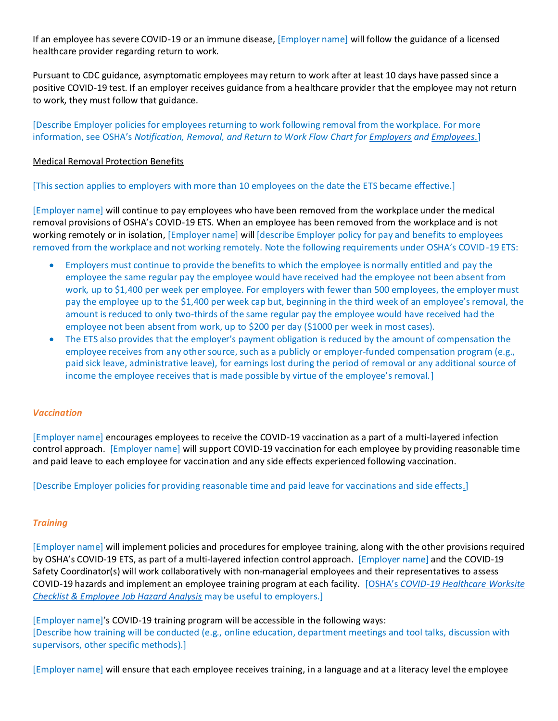If an employee has severe COVID-19 or an immune disease, [Employer name] will follow the guidance of a licensed healthcare provider regarding return to work.

Pursuant to CDC guidance, asymptomatic employees may return to work after at least 10 days have passed since a positive COVID-19 test. If an employer receives guidance from a healthcare provider that the employee may not return to work, they must follow that guidance.

[Describe Employer policies for employees returning to work following removal from the workplace. For more information, see OSHA's *Notification, Removal, and Return to Work Flow Chart for [Employers](https://www.osha.gov/sites/default/files/COVID-19%20Healthcare%20ETS%20Notification%20Removal%20and%20Return%20to%20Work%20Flow%20Chart%20-%20Employer.pdf) an[d Employees.](https://www.osha.gov/sites/default/files/COVID-19%20Healthcare%20ETS%20Notification%20Removal%20and%20Return%20to%20Work%20Flow%20Chart%20-%20Worker.pdf)*]

#### Medical Removal Protection Benefits

[This section applies to employers with more than 10 employees on the date the ETS became effective.]

[Employer name] will continue to pay employees who have been removed from the workplace under the medical removal provisions of OSHA's COVID-19 ETS. When an employee has been removed from the workplace and is not working remotely or in isolation, [Employer name] will [describe Employer policy for pay and benefits to employees removed from the workplace and not working remotely. Note the following requirements under OSHA's COVID-19 ETS:

- Employers must continue to provide the benefits to which the employee is normally entitled and pay the employee the same regular pay the employee would have received had the employee not been absent from work, up to \$1,400 per week per employee. For employers with fewer than 500 employees, the employer must pay the employee up to the \$1,400 per week cap but, beginning in the third week of an employee's removal, the amount is reduced to only two-thirds of the same regular pay the employee would have received had the employee not been absent from work, up to \$200 per day (\$1000 per week in most cases).
- The ETS also provides that the employer's payment obligation is reduced by the amount of compensation the employee receives from any other source, such as a publicly or employer-funded compensation program (e.g., paid sick leave, administrative leave), for earnings lost during the period of removal or any additional source of income the employee receives that is made possible by virtue of the employee's removal.]

#### *Vaccination*

[Employer name] encourages employees to receive the COVID-19 vaccination as a part of a multi-layered infection control approach. [Employer name] will support COVID-19 vaccination for each employee by providing reasonable time and paid leave to each employee for vaccination and any side effects experienced following vaccination.

[Describe Employer policies for providing reasonable time and paid leave for vaccinations and side effects*.*]

#### *Training*

[Employer name] will implement policies and procedures for employee training, along with the other provisions required by OSHA's COVID-19 ETS, as part of a multi-layered infection control approach. [Employer name] and the COVID-19 Safety Coordinator(s) will work collaboratively with non-managerial employees and their representatives to assess COVID-19 hazards and implement an employee training program at each facility. [OSHA's *[COVID-19 Healthcare Worksite](https://www.osha.gov/sites/default/files/COVID-19_Healthcare_ETS_Worksite_Checklist_Employee_Job_Hazard_Analysis.pdf)  [Checklist & Employee Job Hazard Analysis](https://www.osha.gov/sites/default/files/COVID-19_Healthcare_ETS_Worksite_Checklist_Employee_Job_Hazard_Analysis.pdf)* may be useful to employers.]

[Employer name]'s COVID-19 training program will be accessible in the following ways: [Describe how training will be conducted (e.g., online education, department meetings and tool talks, discussion with supervisors, other specific methods).]

[Employer name] will ensure that each employee receives training, in a language and at a literacy level the employee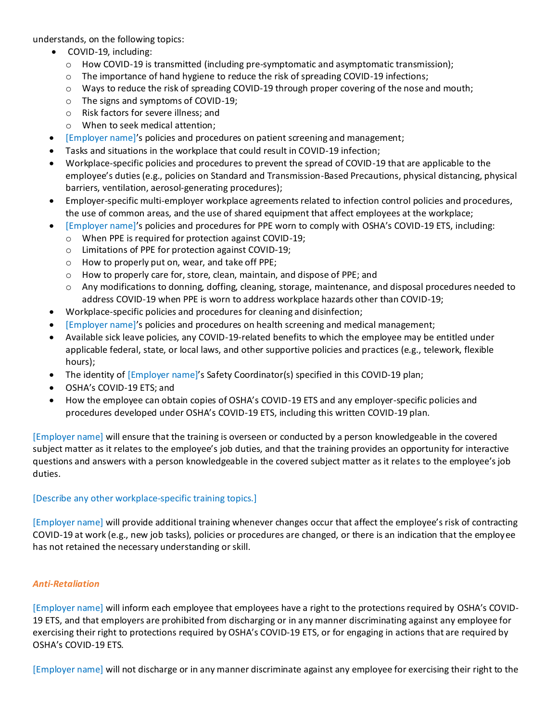understands, on the following topics:

- COVID-19, including:
	- o How COVID-19 is transmitted (including pre-symptomatic and asymptomatic transmission);
	- o The importance of hand hygiene to reduce the risk of spreading COVID-19 infections;
	- o Ways to reduce the risk of spreading COVID-19 through proper covering of the nose and mouth;
	- o The signs and symptoms of COVID-19;
	- o Risk factors for severe illness; and
	- o When to seek medical attention;
- [Employer name]'s policies and procedures on patient screening and management;
- Tasks and situations in the workplace that could result in COVID-19 infection;
- Workplace-specific policies and procedures to prevent the spread of COVID-19 that are applicable to the employee's duties (e.g., policies on Standard and Transmission-Based Precautions, physical distancing, physical barriers, ventilation, aerosol-generating procedures);
- Employer-specific multi-employer workplace agreements related to infection control policies and procedures, the use of common areas, and the use of shared equipment that affect employees at the workplace;
- [Employer name]'s policies and procedures for PPE worn to comply with OSHA's COVID-19 ETS, including:
	- o When PPE is required for protection against COVID-19;
	- o Limitations of PPE for protection against COVID-19;
	- o How to properly put on, wear, and take off PPE;
	- o How to properly care for, store, clean, maintain, and dispose of PPE; and
	- o Any modifications to donning, doffing, cleaning, storage, maintenance, and disposal procedures needed to address COVID-19 when PPE is worn to address workplace hazards other than COVID-19;
- Workplace-specific policies and procedures for cleaning and disinfection;
- [Employer name]'s policies and procedures on health screening and medical management;
- Available sick leave policies, any COVID-19-related benefits to which the employee may be entitled under applicable federal, state, or local laws, and other supportive policies and practices (e.g., telework, flexible hours);
- The identity of [Employer name]'s Safety Coordinator(s) specified in this COVID-19 plan;
- OSHA's COVID-19 ETS; and
- How the employee can obtain copies of OSHA's COVID-19 ETS and any employer-specific policies and procedures developed under OSHA's COVID-19 ETS, including this written COVID-19 plan.

[Employer name] will ensure that the training is overseen or conducted by a person knowledgeable in the covered subject matter as it relates to the employee's job duties, and that the training provides an opportunity for interactive questions and answers with a person knowledgeable in the covered subject matter as it relates to the employee's job duties.

#### [Describe any other workplace-specific training topics.]

[Employer name] will provide additional training whenever changes occur that affect the employee's risk of contracting COVID-19 at work (e.g., new job tasks), policies or procedures are changed, or there is an indication that the employee has not retained the necessary understanding or skill.

#### *Anti-Retaliation*

[Employer name] will inform each employee that employees have a right to the protections required by OSHA's COVID-19 ETS, and that employers are prohibited from discharging or in any manner discriminating against any employee for exercising their right to protections required by OSHA's COVID-19 ETS, or for engaging in actions that are required by OSHA's COVID-19 ETS.

[Employer name] will not discharge or in any manner discriminate against any employee for exercising their right to the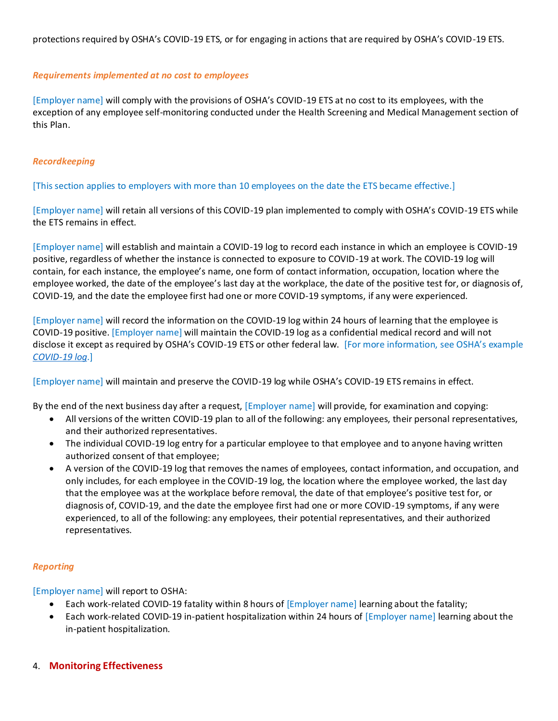protections required by OSHA's COVID-19 ETS, or for engaging in actions that are required by OSHA's COVID-19 ETS.

#### *Requirements implemented at no cost to employees*

[Employer name] will comply with the provisions of OSHA's COVID-19 ETS at no cost to its employees, with the exception of any employee self-monitoring conducted under the Health Screening and Medical Management section of this Plan.

#### *Recordkeeping*

[This section applies to employers with more than 10 employees on the date the ETS became effective.]

[Employer name] will retain all versions of this COVID-19 plan implemented to comply with OSHA's COVID-19 ETS while the ETS remains in effect.

[Employer name] will establish and maintain a COVID-19 log to record each instance in which an employee is COVID-19 positive, regardless of whether the instance is connected to exposure to COVID-19 at work. The COVID-19 log will contain, for each instance, the employee's name, one form of contact information, occupation, location where the employee worked, the date of the employee's last day at the workplace, the date of the positive test for, or diagnosis of, COVID-19, and the date the employee first had one or more COVID-19 symptoms, if any were experienced.

[Employer name] will record the information on the COVID-19 log within 24 hours of learning that the employee is COVID-19 positive. [Employer name] will maintain the COVID-19 log as a confidential medical record and will not disclose it except as required by OSHA's COVID-19 ETS or other federal law. [For more information, see OSHA's example *[COVID-19 log](https://www.osha.gov/sites/default/files/publications/OSHA4130.pdf)*.]

[Employer name] will maintain and preserve the COVID-19 log while OSHA's COVID-19 ETS remains in effect.

By the end of the next business day after a request, [Employer name] will provide, for examination and copying:

- All versions of the written COVID-19 plan to all of the following: any employees, their personal representatives, and their authorized representatives.
- The individual COVID-19 log entry for a particular employee to that employee and to anyone having written authorized consent of that employee;
- A version of the COVID-19 log that removes the names of employees, contact information, and occupation, and only includes, for each employee in the COVID-19 log, the location where the employee worked, the last day that the employee was at the workplace before removal, the date of that employee's positive test for, or diagnosis of, COVID-19, and the date the employee first had one or more COVID-19 symptoms, if any were experienced, to all of the following: any employees, their potential representatives, and their authorized representatives.

#### *Reporting*

[Employer name] will report to OSHA:

- Each work-related COVID-19 fatality within 8 hours of [Employer name] learning about the fatality;
- Each work-related COVID-19 in-patient hospitalization within 24 hours of [Employer name] learning about the in-patient hospitalization.
- 4. **Monitoring Effectiveness**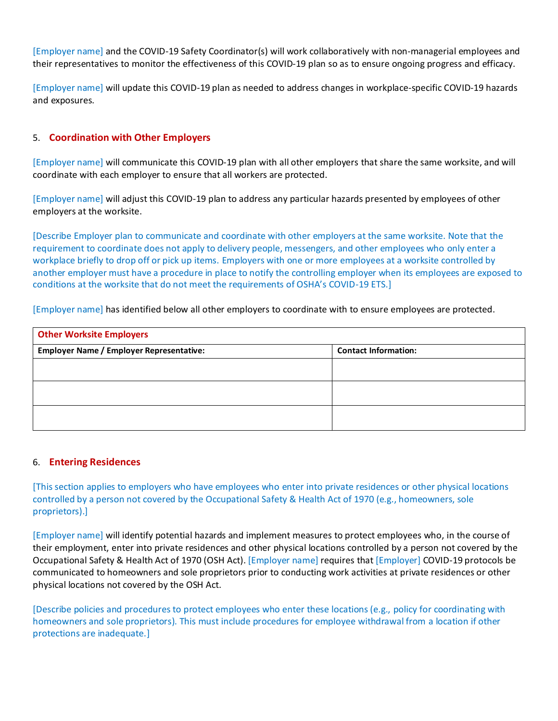[Employer name] and the COVID-19 Safety Coordinator(s) will work collaboratively with non-managerial employees and their representatives to monitor the effectiveness of this COVID-19 plan so as to ensure ongoing progress and efficacy.

[Employer name] will update this COVID-19 plan as needed to address changes in workplace-specific COVID-19 hazards and exposures.

## 5. **Coordination with Other Employers**

[Employer name] will communicate this COVID-19 plan with all other employers that share the same worksite, and will coordinate with each employer to ensure that all workers are protected.

[Employer name] will adjust this COVID-19 plan to address any particular hazards presented by employees of other employers at the worksite.

[Describe Employer plan to communicate and coordinate with other employers at the same worksite. Note that the requirement to coordinate does not apply to delivery people, messengers, and other employees who only enter a workplace briefly to drop off or pick up items. Employers with one or more employees at a worksite controlled by another employer must have a procedure in place to notify the controlling employer when its employees are exposed to conditions at the worksite that do not meet the requirements of OSHA's COVID-19 ETS.]

[Employer name] has identified below all other employers to coordinate with to ensure employees are protected.

| <b>Other Worksite Employers</b>                 |                             |  |
|-------------------------------------------------|-----------------------------|--|
| <b>Employer Name / Employer Representative:</b> | <b>Contact Information:</b> |  |
|                                                 |                             |  |
|                                                 |                             |  |
|                                                 |                             |  |
|                                                 |                             |  |

#### 6. **Entering Residences**

[This section applies to employers who have employees who enter into private residences or other physical locations controlled by a person not covered by the Occupational Safety & Health Act of 1970 (e.g., homeowners, sole proprietors).]

[Employer name] will identify potential hazards and implement measures to protect employees who, in the course of their employment, enter into private residences and other physical locations controlled by a person not covered by the Occupational Safety & Health Act of 1970 (OSH Act). [Employer name] requires that [Employer] COVID-19 protocols be communicated to homeowners and sole proprietors prior to conducting work activities at private residences or other physical locations not covered by the OSH Act.

[Describe policies and procedures to protect employees who enter these locations (e.g., policy for coordinating with homeowners and sole proprietors). This must include procedures for employee withdrawal from a location if other protections are inadequate.]